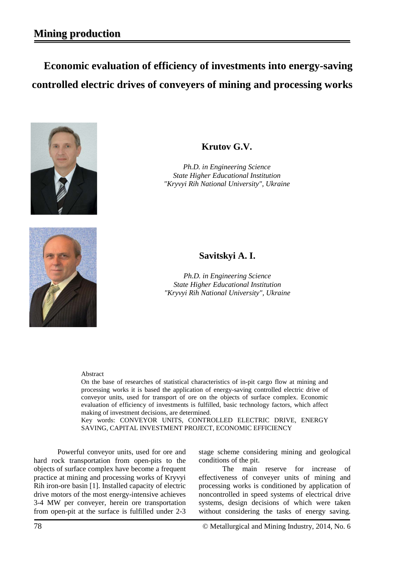# **Economic evaluation of efficiency of investments into energy-saving controlled electric drives of conveyers of mining and processing works**





*Ph.D. in Engineering Science State Higher Educational Institution "Kryvyi Rih National University", Ukraine*



### **Savitskyi A. I.**

*Ph.D. in Engineering Science State Higher Educational Institution "Kryvyi Rih National University", Ukraine*

#### Abstract

On the base of researches of statistical characteristics of in-pit cargo flow at mining and processing works it is based the application of energy-saving controlled electric drive of conveyor units, used for transport of ore on the objects of surface complex. Economic evaluation of efficiency of investments is fulfilled, basic technology factors, which affect making of investment decisions, are determined. Key words: CONVEYOR UNITS, CONTROLLED ELECTRIC DRIVE, ENERGY

SAVING, CAPITAL INVESTMENT PROJECT, ECONOMIC EFFICIENCY

Powerful conveyor units, used for ore and hard rock transportation from open-pits to the objects of surface complex have become a frequent practice at mining and processing works of Kryvyi Rih iron-ore basin [1]. Installed capacity of electric drive motors of the most energy-intensive achieves 3-4 MW per conveyer, herein ore transportation from open-pit at the surface is fulfilled under 2-3

stage scheme considering mining and geological conditions of the pit.

The main reserve for increase of effectiveness of conveyer units of mining and processing works is conditioned by application of noncontrolled in speed systems of electrical drive systems, design decisions of which were taken without considering the tasks of energy saving.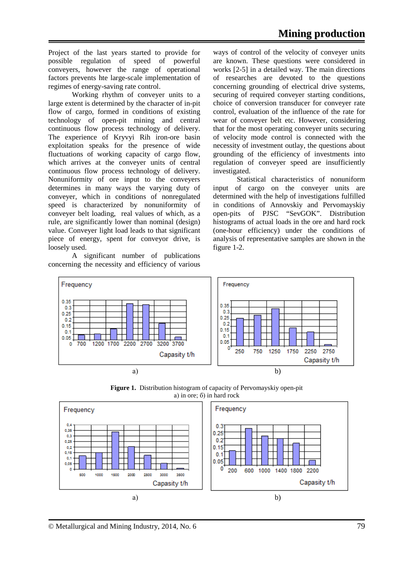Project of the last years started to provide for possible regulation of speed of powerful conveyers, however the range of operational factors prevents hte large-scale implementation of regimes of energy-saving rate control.

Working rhythm of conveyer units to a large extent is determined by the character of in-pit flow of cargo, formed in conditions of existing technology of open-pit mining and central continuous flow process technology of delivery. The experience of Kryvyi Rih iron-ore basin exploitation speaks for the presence of wide fluctuations of working capacity of cargo flow, which arrives at the conveyer units of central continuous flow process technology of delivery. Nonuniformity of ore input to the conveyers determines in many ways the varying duty of conveyer, which in conditions of nonregulated speed is characterized by nonuniformity of conveyer belt loading, real values of which, as a rule, are significantly lower than nominal (design) value. Conveyer light load leads to that significant piece of energy, spent for conveyor drive, is loosely used.

A significant number of publications concerning the necessity and efficiency of various ways of control of the velocity of conveyer units are known. These questions were considered in works [2-5] in a detailed way. The main directions of researches are devoted to the questions concerning grounding of electrical drive systems, securing of required conveyer starting conditions, choice of conversion transducer for conveyer rate control, evaluation of the influence of the rate for wear of conveyer belt etc. However, considering that for the most operating conveyer units securing of velocity mode control is connected with the necessity of investment outlay, the questions about grounding of the efficiency of investments into regulation of conveyer speed are insufficiently investigated.

Statistical characteristics of nonuniform input of cargo on the conveyer units are determined with the help of investigations fulfilled in conditions of Annovskiy and Pervomayskiy open-pits of PJSC "SevGOK". Distribution histograms of actual loads in the ore and hard rock (one-hour efficiency) under the conditions of analysis of representative samples are shown in the figure 1-2.



**Figure 1.** Distribution histogram of capacity of Pervomayskiy open-pit а) in ore; б) in hard rock

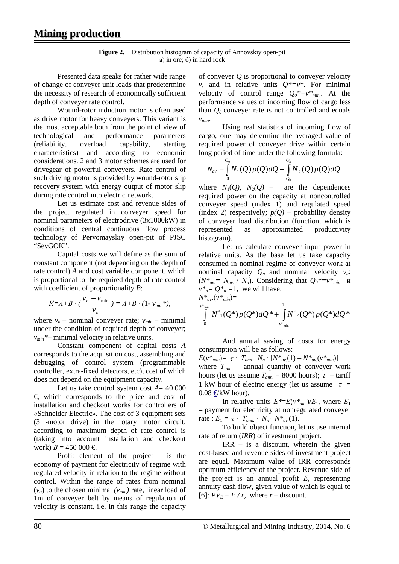| <b>Figure 2.</b> Distribution histogram of capacity of Annovskiy open-pit |
|---------------------------------------------------------------------------|
| a) in ore; $\delta$ ) in hard rock                                        |

Presented data speaks for rather wide range of change of conveyer unit loads that predetermine the necessity of research of economically sufficient depth of conveyer rate control.

Wound-rotor induction motor is often used as drive motor for heavy conveyers. This variant is the most acceptable both from the point of view of technological and performance parameters (reliability, overload capability, starting characteristics) and according to economic considerations. 2 and 3 motor schemes are used for drivegear of powerful conveyers. Rate control of such driving motor is provided by wound-rotor slip recovery system with energy output of motor slip during rate control into electric network.

Let us estimate cost and revenue sides of the project regulated in conveyer speed for nominal parameters of electrodrive (3х1000kW) in conditions of central continuous flow process technology of Pervomayskiy open-pit of PJSC "SevGOK".

Capital costs we will define as the sum of constant component (not depending on the depth of rate control) *A* and cost variable component, which is proportional to the required depth of rate control with coefficient of proportionality *B*:

$$
K=A+B\cdot(\frac{v_n-v_{\min}}{v_n})=A+B\cdot(1-v_{\min}*),
$$

where  $v_n$  – nominal conveyer rate;  $v_{min}$  – minimal under the condition of required depth of conveyer; *vmin\**– minimal velocity in relative units.

Constant component of capital costs *A* corresponds to the acquisition cost, assembling and debugging of control system (programmable controller, extra-fixed detectors, etc), cost of which does not depend on the equipment capacity.

Let us take control system cost *A*= 40 000  $\epsilon$  which corresponds to the price and cost of installation and checkout works for controllers of «Schneider Electric». The cost of 3 equipment sets (3 -motor drive) in the rotary motor circuit, according to maximum depth of rate control is (taking into account installation and checkout work) *B* = 450 000 €

Profit element of the project – is the economy of payment for electricity of regime with regulated velocity in relation to the regime without control. Within the range of rates from nominal  $(v_n)$  to the chosen minimal  $(v_{min})$  rate, linear load of 1m of conveyer belt by means of regulation of velocity is constant, i.e. in this range the capacity of conveyer *Q* is proportional to conveyer velocity *v*, and in relative units  $Q^* = v^*$ . For minimal velocity of control range  $Q_0^* = v^*_{min}$ . At the performance values of incoming flow of cargo less than  $Q_0$  conveyer rate is not controlled and equals *vmin*.

Using real statistics of incoming flow of cargo, one may determine the averaged value of required power of conveyer drive within certain long period of time under the following formula:

$$
N_{av.} = \int_{0}^{Q_0} N_1(Q) p(Q) dQ + \int_{Q_0}^{Q_n} N_2(Q) p(Q) dQ
$$

where  $N_1(Q)$ ,  $N_2(Q)$  – are the dependences required power on the capacity at noncontrolled conveyer speed (index 1) and regulated speed (index 2) respectively;  $p(Q)$  – probability density of conveyer load distribution (function, which is represented as approximated productivity histogram).

Let us calculate conveyer input power in relative units. As the base let us take capacity consumed in nominal regime of conveyer work at nominal capacity  $Q_n$  and nominal velocity  $v_n$ .  $(N^*_{av} = N_{av} / N_n)$ . Considering that  $Q_0^* = v^*_{min}$  и  $v^* = Q^* = 1$ , we will have:  $N^*_{av.}(v^*_{min})=$ 

$$
\int_{0}^{v^{*}_{min}} N^{*}_{1}(Q^{*}) p(Q^{*}) dQ^{*} + \int_{v^{*}_{min}}^{1} N^{*}_{2}(Q^{*}) p(Q^{*}) dQ^{*}
$$

And annual saving of costs for energy consumption will be as follows:

 $E(v^*_{min}) = \tau \cdot T_{ann} \cdot N_n \cdot [N^*_{av}(1) - N^*_{av}(v^*_{min})]$ where  $T_{\text{ann}}$  – annual quantity of conveyer work hours (let us assume  $T_{\text{ann.}} = 8000$  hours);  $\tau$  – tariff 1 kW hour of electric energy (let us assume  $\tau =$  $0.08 \in$ KW hour).

In relative units  $E^* = E(v^*_{min})/E_1$ , where  $E_1$ – payment for electricity at nonregulated conveyer rate :  $E_1 = \tau \cdot T_{ann} \cdot N_n \cdot N_{av.}(1)$ .

To build object function, let us use internal rate of return (*IRR*) of investment project.

 $IRR - is a discount, wherein the given$ cost-based and revenue sides of investment project are equal. Maximum value of IRR corresponds optimum efficiency of the project. Revenue side of the project is an annual profit *Е,* representing annuity cash flow, given value of which is equal to [6]:  $PV_E = E / r$ , where  $r -$  discount.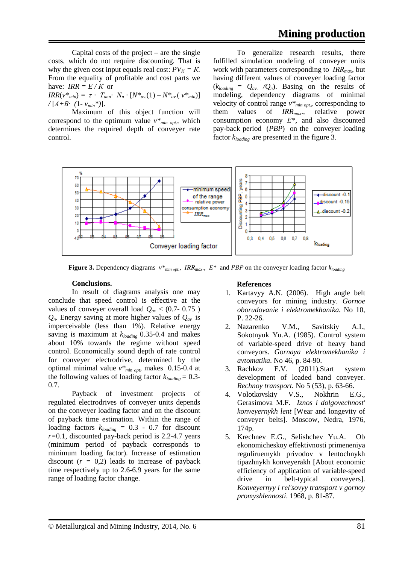Capital costs of the project – are the single costs, which do not require discounting. That is why the given cost input equals real cost:  $PV_K = K$ . From the equality of profitable and cost parts we have:  $IRR = E/K$  or

*IRR*(*v\*<sub>min</sub>*) =  $\tau \cdot T_{ann}$ *·*  $N_n \cdot [N*_{av}(1) - N*_{av}(V*_{min})]$  $/[A+B-(1-v_{min}*)].$ 

Maximum of this object function will correspond to the optimum value  $v^*_{min, opt}$ , which determines the required depth of conveyer rate control.

To generalize research results, there fulfilled simulation modeling of conveyer units work with parameters corresponding to *IRRmax*, but having different values of conveyer loading factor  $(k_{loading} = Q_{av.} / Q_n)$ . Basing on the results of modeling, dependency diagrams of minimal velocity of control range  $v^*_{min opt}$ , corresponding to them values of *IRRmax*., relative power consumption economy *Е\*,* and also discounted pay-back period (*PBP*) on the conveyer loading factor *kloading* are presented in the figure 3.



**Figure 3.** Dependency diagrams  $v^*_{min,out}$ ,  $IRR_{max}$ ,  $E^*$  and  $PBP$  on the conveyer loading factor  $k_{loading}$ 

#### **Conclusions.**

In result of diagrams analysis one may conclude that speed control is effective at the values of conveyer overall load  $Q_{av}$  < (0.7- 0.75) *Qn.* Energy saving at more higher values of *Qav* is imperceivable (less than 1%). Relative energy saving is maximum at *kloading* 0.35-0.4 and makes about 10% towards the regime without speed control. Economically sound depth of rate control for conveyer electrodrive, determined by the optimal minimal value *v\*min оpt*, makes 0.15-0.4 at the following values of loading factor  $k_{loading} = 0.3$ -0.7.

Payback of investment projects of regulated electrodrives of conveyer units depends on the conveyer loading factor and on the discount of payback time estimation. Within the range of loading factors  $k_{loading} = 0.3 - 0.7$  for discount *r=*0.1, discounted pay-back period is 2.2-4.7 years (minimum period of payback corresponds to minimum loading factor). Increase of estimation discount  $(r = 0,2)$  leads to increase of payback time respectively up to 2.6-6.9 years for the same range of loading factor change.

#### **References**

- 1. Kartavyy A.N. (2006). High angle belt conveyors for mining industry. *Gornoe oborudovanie i elektromekhanika*. No 10, P. 22-26.
- 2. Nazarenko V.M., Savitskiy A.I., Sokotnyuk Yu.A. (1985). Control system of variable-speed drive of heavy band conveyors. *Gornaya elektromekhanika i avtomatika*. No 46, p. 84-90.
- 3. Rachkov E.V. (2011).Start system development of loaded band conveyer. *Rechnoy transport.* No 5 (53), p. 63-66.
- 4. Volotkovskiy V.S., Nokhrin E.G., Gerasimova M.F. *Iznos i dolgovechnost' konveyernykh lent* [Wear and longevity of conveyer belts]. Moscow, Nedra, 1976, 174p.
- 5. Krechnev E.G., Selishchev Yu.A. Ob ekonomicheskoy effektivnosti primeneniya reguliruemykh privodov v lentochnykh tipazhnykh konveyerakh [About economic efficiency of application of variable-speed drive in belt-typical conveyers]. *Konveyernyy i rel'sovyy transport v gornoy promyshlennosti*. 1968, p. 81-87.